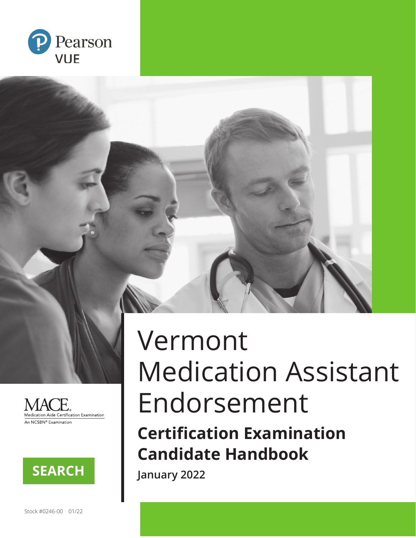





# Vermont Medication Assistant Endorsement **Certification Examination Candidate Handbook**

**January 2022**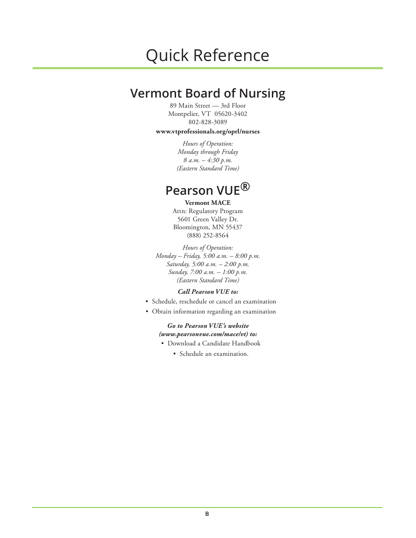# Quick Reference

## **Vermont Board of Nursing**

89 Main Street — 3rd Floor Montpelier, VT 05620-3402 802-828-3089

### **www.vtprofessionals.org/oprl/nurses**

*Hours of Operation: Monday through Friday 8 a.m. – 4:30 p.m. (Eastern Standard Time)*

## **Pearson VUE®**

#### **Vermont MACE**

Attn: Regulatory Program 5601 Green Valley Dr. Bloomington, MN 55437 (888) 252-8564

*Hours of Operation: Monday – Friday, 5:00 a.m. – 8:00 p.m. Saturday, 5:00 a.m. – 2:00 p.m. Sunday, 7:00 a.m. – 1:00 p.m. (Eastern Standard Time)*

### *Call Pearson VUE to:*

- Schedule, reschedule or cancel an examination
- Obtain information regarding an examination

#### *Go to Pearson VUE's website (www.pearsonvue.com/mace/vt) to:*

- Download a Candidate Handbook
	- Schedule an examination.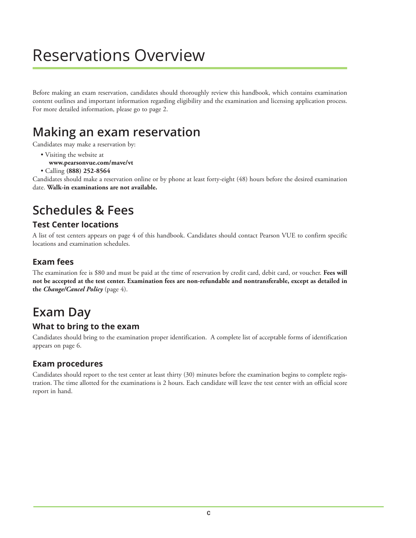# Reservations Overview

Before making an exam reservation, candidates should thoroughly review this handbook, which contains examination content outlines and important information regarding eligibility and the examination and licensing application process. For more detailed information, please go to page 2.

## **Making an exam reservation**

Candidates may make a reservation by:

- Visiting the website at
- **www.pearsonvue.com/mave/vt**
- Calling **(888) 252-8564**

Candidates should make a reservation online or by phone at least forty-eight (48) hours before the desired examination date. **Walk-in examinations are not available.**

# **Schedules & Fees**

### **Test Center locations**

A list of test centers appears on page 4 of this handbook. Candidates should contact Pearson VUE to confirm specific locations and examination schedules.

### **Exam fees**

The examination fee is \$80 and must be paid at the time of reservation by credit card, debit card, or voucher. **Fees will not be accepted at the test center. Examination fees are non-refundable and nontransferable, except as detailed in the** *Change/Cancel Policy* (page 4).

# **Exam Day**

### **What to bring to the exam**

Candidates should bring to the examination proper identification. A complete list of acceptable forms of identification appears on page 6.

### **Exam procedures**

Candidates should report to the test center at least thirty (30) minutes before the examination begins to complete registration. The time allotted for the examinations is 2 hours. Each candidate will leave the test center with an official score report in hand.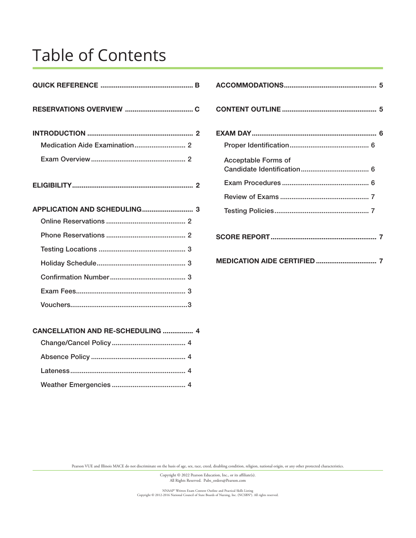# Table of Contents

| <b>CANCELLATION AND RE-SCHEDULING  4</b> |
|------------------------------------------|
|                                          |
|                                          |

Lateness............................................................. 4

Weather Emergencies ....................................... 4

| Acceptable Forms of |  |
|---------------------|--|
|                     |  |
|                     |  |
|                     |  |
|                     |  |
|                     |  |

Pearson VUE and Illinois MACE do not discriminate on the basis of age, sex, race, creed, disabling condition, religion, national origin, or any other protected characteristics.

Copyright © 2022 Pearson Education, Inc., or its affiliate(s). All Rights Reserved. Pubs\_orders@Pearson.com

NNAAP® Written Exam Content Outline and Practical Skills Listing Copyright © 2012-2016 National Council of State Boards of Nursing, Inc. (NCSBN®). All rights reserved.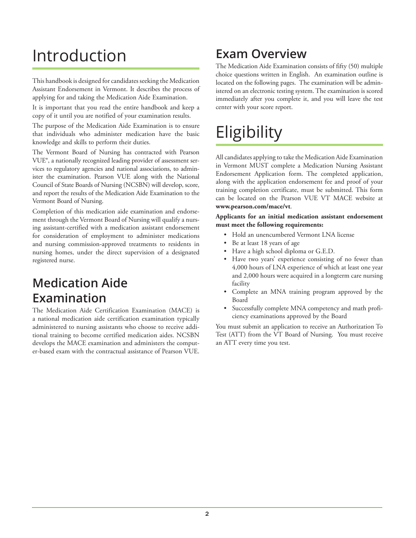# Introduction

This handbook is designed for candidates seeking the Medication Assistant Endorsement in Vermont. It describes the process of applying for and taking the Medication Aide Examination.

It is important that you read the entire handbook and keep a copy of it until you are notified of your examination results.

The purpose of the Medication Aide Examination is to ensure that individuals who administer medication have the basic knowledge and skills to perform their duties.

The Vermont Board of Nursing has contracted with Pearson VUE®, a nationally recognized leading provider of assessment services to regulatory agencies and national associations, to administer the examination. Pearson VUE along with the National Council of State Boards of Nursing (NCSBN) will develop, score, and report the results of the Medication Aide Examination to the Vermont Board of Nursing.

Completion of this medication aide examination and endorsement through the Vermont Board of Nursing will qualify a nursing assistant-certified with a medication assistant endorsement for consideration of employment to administer medications and nursing commission-approved treatments to residents in nursing homes, under the direct supervision of a designated registered nurse.

## **Medication Aide Examination**

The Medication Aide Certification Examination (MACE) is a national medication aide certification examination typically administered to nursing assistants who choose to receive additional training to become certified medication aides. NCSBN develops the MACE examination and administers the computer-based exam with the contractual assistance of Pearson VUE.

# **Exam Overview**

The Medication Aide Examination consists of fifty (50) multiple choice questions written in English. An examination outline is located on the following pages. The examination will be administered on an electronic testing system. The examination is scored immediately after you complete it, and you will leave the test center with your score report.

# Eligibility

All candidates applying to take the Medication Aide Examination in Vermont MUST complete a Medication Nursing Assistant Endorsement Application form. The completed application, along with the application endorsement fee and proof of your training completion certificate, must be submitted. This form can be located on the Pearson VUE VT MACE website at **www.pearson.com/mace/vt**.

**Applicants for an initial medication assistant endorsement must meet the following requirements:**

- Hold an unencumbered Vermont LNA license
- Be at least 18 years of age
- Have a high school diploma or G.E.D.
- Have two years' experience consisting of no fewer than 4,000 hours of LNA experience of which at least one year and 2,000 hours were acquired in a longterm care nursing facility
- Complete an MNA training program approved by the Board
- Successfully complete MNA competency and math proficiency examinations approved by the Board

You must submit an application to receive an Authorization To Test (ATT) from the VT Board of Nursing. You must receive an ATT every time you test.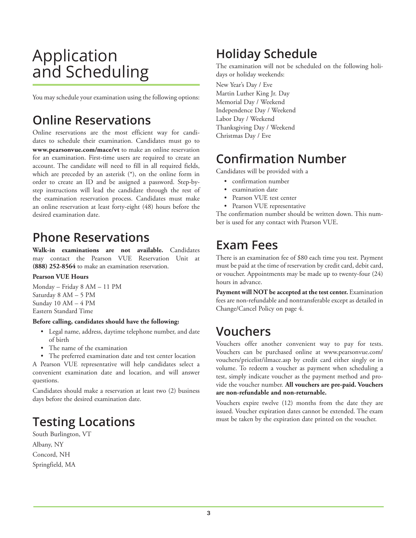# Application and Scheduling

You may schedule your examination using the following options:

## **Online Reservations**

Online reservations are the most efficient way for candidates to schedule their examination. Candidates must go to **www.pearsonvue.com/mace/vt** to make an online reservation for an examination. First-time users are required to create an account. The candidate will need to fill in all required fields, which are preceded by an asterisk (\*), on the online form in order to create an ID and be assigned a password. Step-bystep instructions will lead the candidate through the rest of the examination reservation process. Candidates must make an online reservation at least forty-eight (48) hours before the desired examination date.

## **Phone Reservations**

**Walk-in examinations are not available.** Candidates may contact the Pearson VUE Reservation Unit at **(888) 252-8564** to make an examination reservation.

### **Pearson VUE Hours**

Monday – Friday 8 AM – 11 PM Saturday 8 AM – 5 PM Sunday 10 AM – 4 PM Eastern Standard Time

### **Before calling, candidates should have the following:**

- Legal name, address, daytime telephone number, and date of birth
- The name of the examination
- The preferred examination date and test center location A Pearson VUE representative will help candidates select a convenient examination date and location, and will answer questions.

Candidates should make a reservation at least two (2) business days before the desired examination date.

## **Testing Locations**

South Burlington, VT Albany, NY Concord, NH Springfield, MA

# **Holiday Schedule**

The examination will not be scheduled on the following holidays or holiday weekends:

New Year's Day / Eve Martin Luther King Jr. Day Memorial Day / Weekend Independence Day / Weekend Labor Day / Weekend Thanksgiving Day / Weekend Christmas Day / Eve

# **Confirmation Number**

Candidates will be provided with a

- confirmation number
- examination date
- Pearson VUE test center
- Pearson VUE representative

The confirmation number should be written down. This number is used for any contact with Pearson VUE.

## **Exam Fees**

There is an examination fee of \$80 each time you test. Payment must be paid at the time of reservation by credit card, debit card, or voucher. Appointments may be made up to twenty-four (24) hours in advance.

Payment will NOT be accepted at the test center. Examination fees are non-refundable and nontransferable except as detailed in Change/Cancel Policy on page 4.

### **Vouchers**

Vouchers offer another convenient way to pay for tests. Vouchers can be purchased online at www.pearsonvue.com/ vouchers/pricelist/ilmace.asp by credit card either singly or in volume. To redeem a voucher as payment when scheduling a test, simply indicate voucher as the payment method and provide the voucher number. **All vouchers are pre-paid. Vouchers are non-refundable and non-returnable.**

Vouchers expire twelve (12) months from the date they are issued. Voucher expiration dates cannot be extended. The exam must be taken by the expiration date printed on the voucher.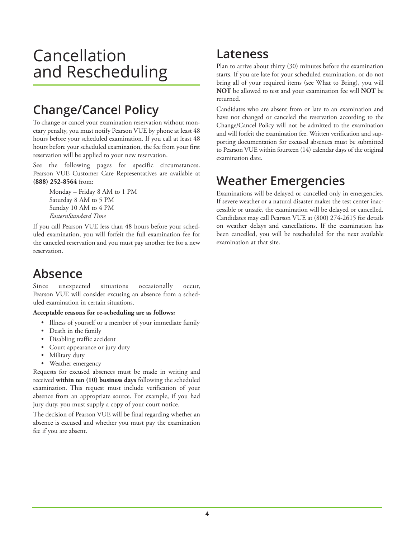# Cancellation and Rescheduling

# **Change/Cancel Policy**

To change or cancel your examination reservation without monetary penalty, you must notify Pearson VUE by phone at least 48 hours before your scheduled examination. If you call at least 48 hours before your scheduled examination, the fee from your first reservation will be applied to your new reservation.

See the following pages for specific circumstances. Pearson VUE Customer Care Representatives are available at **(888) 252-8564** from:

Monday – Friday 8 AM to 1 PM Saturday 8 AM to 5 PM Sunday 10 AM to 4 PM *EasternStandard Time* 

If you call Pearson VUE less than 48 hours before your scheduled examination, you will forfeit the full examination fee for the canceled reservation and you must pay another fee for a new reservation.

### **Absence**

Since unexpected situations occasionally occur, Pearson VUE will consider excusing an absence from a scheduled examination in certain situations.

**Acceptable reasons for re-scheduling are as follows:**

- Illness of yourself or a member of your immediate family
- Death in the family
- Disabling traffic accident
- Court appearance or jury duty
- Military duty
- Weather emergency

Requests for excused absences must be made in writing and received **within ten (10) business days** following the scheduled examination. This request must include verification of your absence from an appropriate source. For example, if you had jury duty, you must supply a copy of your court notice.

The decision of Pearson VUE will be final regarding whether an absence is excused and whether you must pay the examination fee if you are absent.

### **Lateness**

Plan to arrive about thirty (30) minutes before the examination starts. If you are late for your scheduled examination, or do not bring all of your required items (see What to Bring), you will **NOT** be allowed to test and your examination fee will **NOT** be returned.

Candidates who are absent from or late to an examination and have not changed or canceled the reservation according to the Change/Cancel Policy will not be admitted to the examination and will forfeit the examination fee. Written verification and supporting documentation for excused absences must be submitted to Pearson VUE within fourteen (14) calendar days of the original examination date.

# **Weather Emergencies**

Examinations will be delayed or cancelled only in emergencies. If severe weather or a natural disaster makes the test center inaccessible or unsafe, the examination will be delayed or cancelled. Candidates may call Pearson VUE at (800) 274-2615 for details on weather delays and cancellations. If the examination has been cancelled, you will be rescheduled for the next available examination at that site.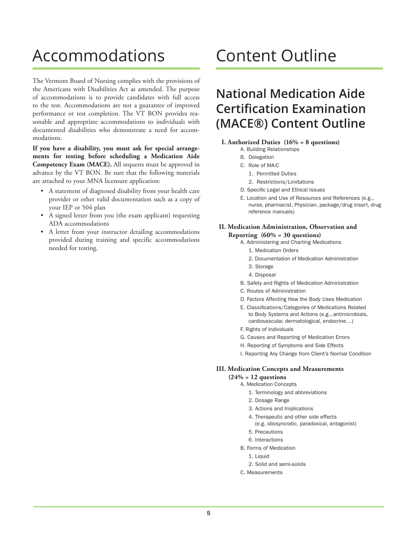# Accommodations

The Vermont Board of Nursing complies with the provisions of the Americans with Disabilities Act as amended. The purpose of accommodations is to provide candidates with full access to the test. Accommodations are not a guarantee of improved performance or test completion. The VT BON provides reasonable and appropriate accommodations to individuals with documented disabilities who demonstrate a need for accommodations.

**If you have a disability, you must ask for special arrangements for testing before scheduling a Medication Aide Competency Exam (MACE).** All requests must be approved in advance by the VT BON. Be sure that the following materials are attached to your MNA licensure application:

- A statement of diagnosed disability from your health care provider or other valid documentation such as a copy of your IEP or 504 plan
- A signed letter from you (the exam applicant) requesting ADA accommodations
- A letter from your instructor detailing accommodations provided during training and specific accommodations needed for testing.

# Content Outline

## **National Medication Aide Certification Examination (MACE®) Content Outline**

### **I. Authorized Duties (16% = 8 questions)**

- A. Building Relationships
- B. Delegation
- C. Role of MA-C
	- 1. Permitted Duties
	- 2. Restrictions/Limitations
- D. Specific Legal and Ethical Issues
- E. Location and Use of Resources and References (e.g., nurse, pharmacist, Physician, package/drug insert, drug reference manuals)

#### **II. Medication Administration, Observation and Reporting (60% = 30 questions)**

- A. Administering and Charting Medications
	- 1. Medication Orders
	- 2. Documentation of Medication Administration
	- 3. Storage
	- 4. Disposal
- B. Safety and Rights of Medication Administration
- C. Routes of Administration
- D. Factors Affecting How the Body Uses Medication
- E. Classifications/Categories of Medications Related to Body Systems and Actions (e.g., antimicrobials, cardiovascular, dermatological, endocrine…)
- F. Rights of Individuals
- G. Causes and Reporting of Medication Errors
- H. Reporting of Symptoms and Side Effects
- I. Reporting Any Change from Client's Normal Condition

#### **III. Medication Concepts and Measurements**

#### **(24% = 12 questions**

- A. Medication Concepts
	- 1. Terminology and abbreviations
	- 2. Dosage Range
	- 3. Actions and Implications
	- 4. Therapeutic and other side effects (e.g. idiosyncratic, paradoxical, antagonist)
	- 5. Precautions
	- 6. Interactions
- B. Forms of Medication
	- 1. Liquid
	- 2. Solid and semi-solids
- C. Measurements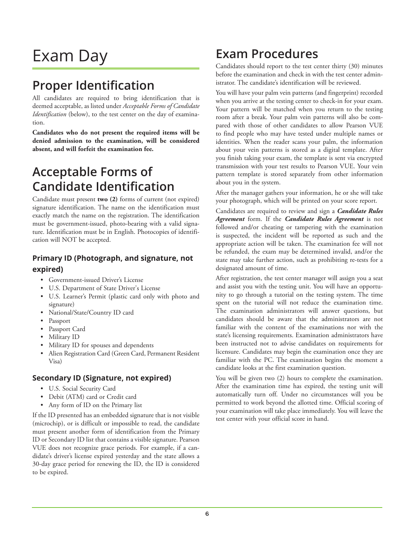# Exam Day

# **Proper Identification**

All candidates are required to bring identification that is deemed acceptable, as listed under *Acceptable Forms of Candidate Identification* (below), to the test center on the day of examination.

**Candidates who do not present the required items will be denied admission to the examination, will be considered absent, and will forfeit the examination fee.**

# **Acceptable Forms of Candidate Identification**

Candidate must present **two (2)** forms of current (not expired) signature identification. The name on the identification must exactly match the name on the registration. The identification must be government-issued, photo-bearing with a valid signature. Identification must be in English. Photocopies of identification will NOT be accepted.

### **Primary ID (Photograph, and signature, not expired)**

- Government-issued Driver's License
- U.S. Department of State Driver's License
- U.S. Learner's Permit (plastic card only with photo and signature)
- National/State/Country ID card
- Passport
- Passport Card
- Military ID
- Military ID for spouses and dependents
- Alien Registration Card (Green Card, Permanent Resident Visa)

### **Secondary ID (Signature, not expired)**

- U.S. Social Security Card
- Debit (ATM) card or Credit card
- Any form of ID on the Primary list

If the ID presented has an embedded signature that is not visible (microchip), or is difficult or impossible to read, the candidate must present another form of identification from the Primary ID or Secondary ID list that contains a visible signature. Pearson VUE does not recognize grace periods. For example, if a candidate's driver's license expired yesterday and the state allows a 30-day grace period for renewing the ID, the ID is considered to be expired.

# **Exam Procedures**

Candidates should report to the test center thirty (30) minutes before the examination and check in with the test center administrator. The candidate's identification will be reviewed.

You will have your palm vein patterns (and fingerprint) recorded when you arrive at the testing center to check-in for your exam. Your pattern will be matched when you return to the testing room after a break. Your palm vein patterns will also be compared with those of other candidates to allow Pearson VUE to find people who may have tested under multiple names or identities. When the reader scans your palm, the information about your vein patterns is stored as a digital template. After you finish taking your exam, the template is sent via encrypted transmission with your test results to Pearson VUE. Your vein pattern template is stored separately from other information about you in the system.

After the manager gathers your information, he or she will take your photograph, which will be printed on your score report.

Candidates are required to review and sign a *Candidate Rules Agreement* form. If the *Candidate Rules Agreement* is not followed and/or cheating or tampering with the examination is suspected, the incident will be reported as such and the appropriate action will be taken. The examination fee will not be refunded, the exam may be determined invalid, and/or the state may take further action, such as prohibiting re-tests for a designated amount of time.

After registration, the test center manager will assign you a seat and assist you with the testing unit. You will have an opportunity to go through a tutorial on the testing system. The time spent on the tutorial will not reduce the examination time. The examination administrators will answer questions, but candidates should be aware that the administrators are not familiar with the content of the examinations nor with the state's licensing requirements. Examination administrators have been instructed not to advise candidates on requirements for licensure. Candidates may begin the examination once they are familiar with the PC. The examination begins the moment a candidate looks at the first examination question.

You will be given two  $(2)$  hours to complete the examination. After the examination time has expired, the testing unit will automatically turn off. Under no circumstances will you be permitted to work beyond the allotted time. Official scoring of your examination will take place immediately. You will leave the test center with your official score in hand.